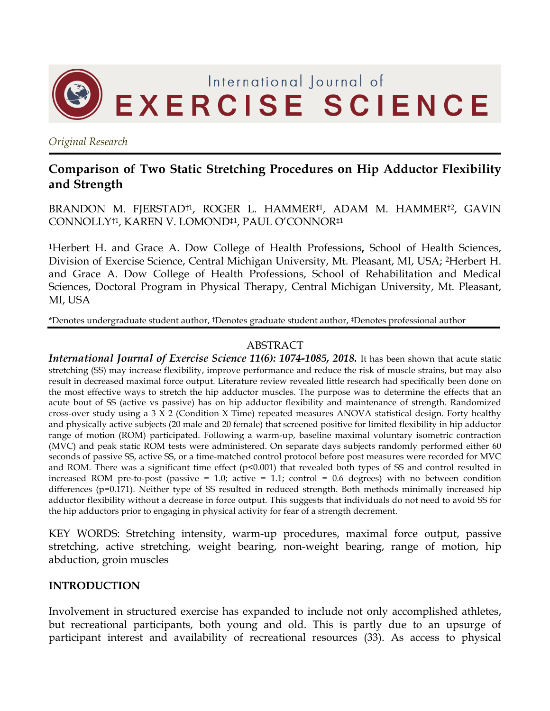

*Original Research*

# **Comparison of Two Static Stretching Procedures on Hip Adductor Flexibility and Strength**

BRANDON M. FJERSTAD<sup>†1</sup>, ROGER L. HAMMER<sup>‡1</sup>, ADAM M. HAMMER<sup>†2</sup>, GAVIN CONNOLLY†1, KAREN V. LOMOND‡1, PAUL O'CONNOR‡1

1Herbert H. and Grace A. Dow College of Health Professions**,** School of Health Sciences, Division of Exercise Science, Central Michigan University, Mt. Pleasant, MI, USA; 2Herbert H. and Grace A. Dow College of Health Professions, School of Rehabilitation and Medical Sciences, Doctoral Program in Physical Therapy, Central Michigan University, Mt. Pleasant, MI, USA

\*Denotes undergraduate student author, †Denotes graduate student author, ‡Denotes professional author

## ABSTRACT

*International Journal of Exercise Science 11(6): 1074-1085, 2018.* It has been shown that acute static stretching (SS) may increase flexibility, improve performance and reduce the risk of muscle strains, but may also result in decreased maximal force output. Literature review revealed little research had specifically been done on the most effective ways to stretch the hip adductor muscles. The purpose was to determine the effects that an acute bout of SS (active vs passive) has on hip adductor flexibility and maintenance of strength. Randomized cross-over study using a 3 X 2 (Condition X Time) repeated measures ANOVA statistical design. Forty healthy and physically active subjects (20 male and 20 female) that screened positive for limited flexibility in hip adductor range of motion (ROM) participated. Following a warm-up, baseline maximal voluntary isometric contraction (MVC) and peak static ROM tests were administered. On separate days subjects randomly performed either 60 seconds of passive SS, active SS, or a time-matched control protocol before post measures were recorded for MVC and ROM. There was a significant time effect (p<0.001) that revealed both types of SS and control resulted in increased ROM pre-to-post (passive  $= 1.0$ ; active  $= 1.1$ ; control  $= 0.6$  degrees) with no between condition differences (p=0.171). Neither type of SS resulted in reduced strength. Both methods minimally increased hip adductor flexibility without a decrease in force output. This suggests that individuals do not need to avoid SS for the hip adductors prior to engaging in physical activity for fear of a strength decrement.

KEY WORDS: Stretching intensity, warm-up procedures, maximal force output, passive stretching, active stretching, weight bearing, non-weight bearing, range of motion, hip abduction, groin muscles

# **INTRODUCTION**

Involvement in structured exercise has expanded to include not only accomplished athletes, but recreational participants, both young and old. This is partly due to an upsurge of participant interest and availability of recreational resources (33). As access to physical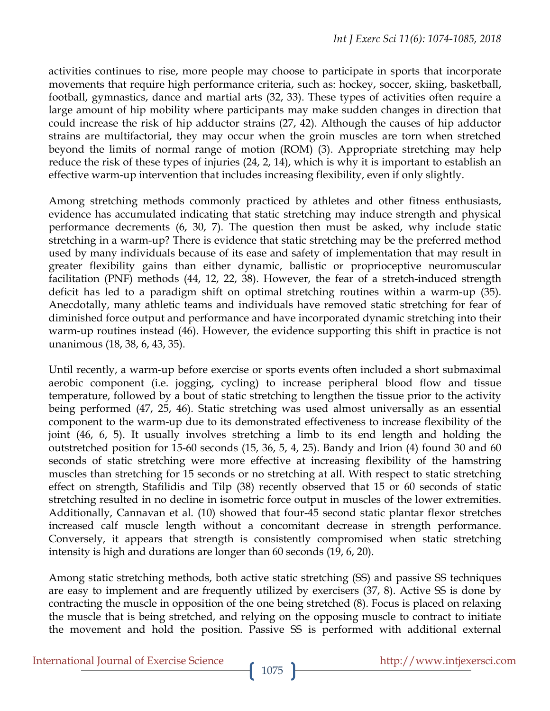activities continues to rise, more people may choose to participate in sports that incorporate movements that require high performance criteria, such as: hockey, soccer, skiing, basketball, football, gymnastics, dance and martial arts (32, 33). These types of activities often require a large amount of hip mobility where participants may make sudden changes in direction that could increase the risk of hip adductor strains (27, 42). Although the causes of hip adductor strains are multifactorial, they may occur when the groin muscles are torn when stretched beyond the limits of normal range of motion (ROM) (3). Appropriate stretching may help reduce the risk of these types of injuries (24, 2, 14), which is why it is important to establish an effective warm-up intervention that includes increasing flexibility, even if only slightly.

Among stretching methods commonly practiced by athletes and other fitness enthusiasts, evidence has accumulated indicating that static stretching may induce strength and physical performance decrements (6, 30, 7). The question then must be asked, why include static stretching in a warm-up? There is evidence that static stretching may be the preferred method used by many individuals because of its ease and safety of implementation that may result in greater flexibility gains than either dynamic, ballistic or proprioceptive neuromuscular facilitation (PNF) methods (44, 12, 22, 38). However, the fear of a stretch-induced strength deficit has led to a paradigm shift on optimal stretching routines within a warm-up (35). Anecdotally, many athletic teams and individuals have removed static stretching for fear of diminished force output and performance and have incorporated dynamic stretching into their warm-up routines instead (46). However, the evidence supporting this shift in practice is not unanimous (18, 38, 6, 43, 35).

Until recently, a warm-up before exercise or sports events often included a short submaximal aerobic component (i.e. jogging, cycling) to increase peripheral blood flow and tissue temperature, followed by a bout of static stretching to lengthen the tissue prior to the activity being performed (47, 25, 46). Static stretching was used almost universally as an essential component to the warm-up due to its demonstrated effectiveness to increase flexibility of the joint (46, 6, 5). It usually involves stretching a limb to its end length and holding the outstretched position for 15-60 seconds (15, 36, 5, 4, 25). Bandy and Irion (4) found 30 and 60 seconds of static stretching were more effective at increasing flexibility of the hamstring muscles than stretching for 15 seconds or no stretching at all. With respect to static stretching effect on strength, Stafilidis and Tilp (38) recently observed that 15 or 60 seconds of static stretching resulted in no decline in isometric force output in muscles of the lower extremities. Additionally, Cannavan et al. (10) showed that four-45 second static plantar flexor stretches increased calf muscle length without a concomitant decrease in strength performance. Conversely, it appears that strength is consistently compromised when static stretching intensity is high and durations are longer than 60 seconds (19, 6, 20).

Among static stretching methods, both active static stretching (SS) and passive SS techniques are easy to implement and are frequently utilized by exercisers (37, 8). Active SS is done by contracting the muscle in opposition of the one being stretched (8). Focus is placed on relaxing the muscle that is being stretched, and relying on the opposing muscle to contract to initiate the movement and hold the position. Passive SS is performed with additional external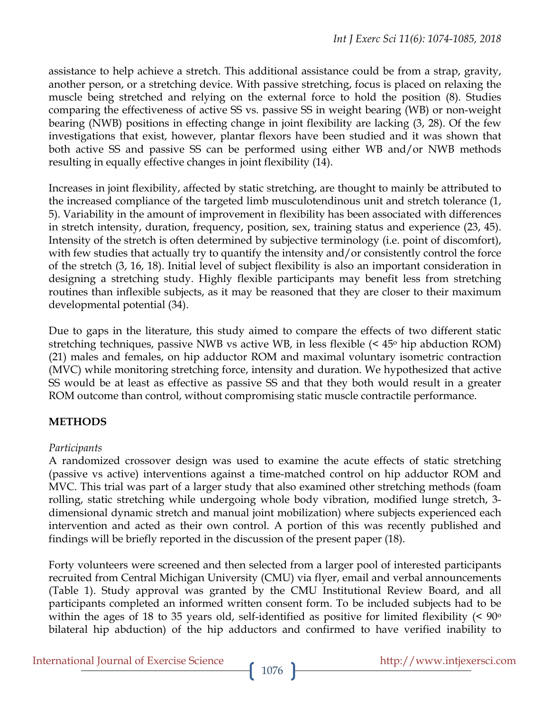assistance to help achieve a stretch. This additional assistance could be from a strap, gravity, another person, or a stretching device. With passive stretching, focus is placed on relaxing the muscle being stretched and relying on the external force to hold the position (8). Studies comparing the effectiveness of active SS vs. passive SS in weight bearing (WB) or non-weight bearing (NWB) positions in effecting change in joint flexibility are lacking (3, 28). Of the few investigations that exist, however, plantar flexors have been studied and it was shown that both active SS and passive SS can be performed using either WB and/or NWB methods resulting in equally effective changes in joint flexibility (14).

Increases in joint flexibility, affected by static stretching, are thought to mainly be attributed to the increased compliance of the targeted limb musculotendinous unit and stretch tolerance (1, 5). Variability in the amount of improvement in flexibility has been associated with differences in stretch intensity, duration, frequency, position, sex, training status and experience (23, 45). Intensity of the stretch is often determined by subjective terminology (i.e. point of discomfort), with few studies that actually try to quantify the intensity and/or consistently control the force of the stretch (3, 16, 18). Initial level of subject flexibility is also an important consideration in designing a stretching study. Highly flexible participants may benefit less from stretching routines than inflexible subjects, as it may be reasoned that they are closer to their maximum developmental potential (34).

Due to gaps in the literature, this study aimed to compare the effects of two different static stretching techniques, passive NWB vs active WB, in less flexible  $\leq 45^{\circ}$  hip abduction ROM) (21) males and females, on hip adductor ROM and maximal voluntary isometric contraction (MVC) while monitoring stretching force, intensity and duration. We hypothesized that active SS would be at least as effective as passive SS and that they both would result in a greater ROM outcome than control, without compromising static muscle contractile performance.

# **METHODS**

### *Participants*

A randomized crossover design was used to examine the acute effects of static stretching (passive vs active) interventions against a time-matched control on hip adductor ROM and MVC. This trial was part of a larger study that also examined other stretching methods (foam rolling, static stretching while undergoing whole body vibration, modified lunge stretch, 3 dimensional dynamic stretch and manual joint mobilization) where subjects experienced each intervention and acted as their own control. A portion of this was recently published and findings will be briefly reported in the discussion of the present paper (18).

Forty volunteers were screened and then selected from a larger pool of interested participants recruited from Central Michigan University (CMU) via flyer, email and verbal announcements (Table 1). Study approval was granted by the CMU Institutional Review Board, and all participants completed an informed written consent form. To be included subjects had to be within the ages of 18 to 35 years old, self-identified as positive for limited flexibility  $\approx 90^{\circ}$ bilateral hip abduction) of the hip adductors and confirmed to have verified inability to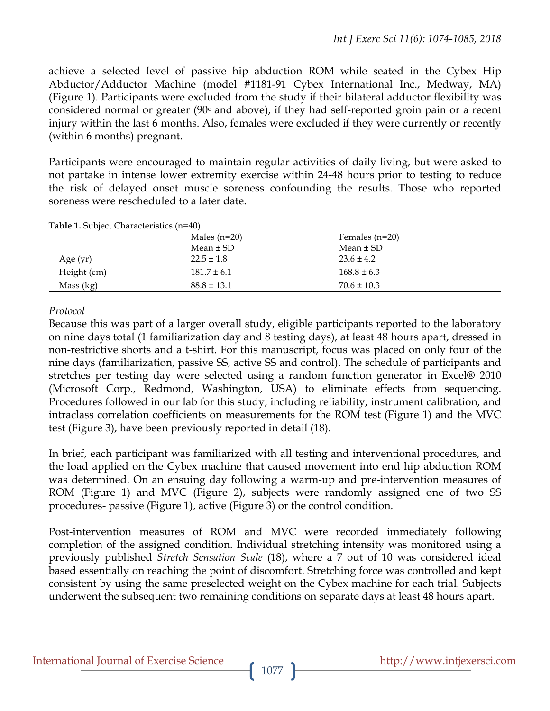achieve a selected level of passive hip abduction ROM while seated in the Cybex Hip Abductor/Adductor Machine (model #1181-91 Cybex International Inc., Medway, MA) (Figure 1). Participants were excluded from the study if their bilateral adductor flexibility was considered normal or greater  $(90°)$  and above), if they had self-reported groin pain or a recent injury within the last 6 months. Also, females were excluded if they were currently or recently (within 6 months) pregnant.

Participants were encouraged to maintain regular activities of daily living, but were asked to not partake in intense lower extremity exercise within 24-48 hours prior to testing to reduce the risk of delayed onset muscle soreness confounding the results. Those who reported soreness were rescheduled to a later date.

| <b>Table 1. Subject Characteristics (n=40)</b> |                 |                  |  |  |
|------------------------------------------------|-----------------|------------------|--|--|
|                                                | Males $(n=20)$  | Females $(n=20)$ |  |  |
|                                                | Mean $\pm$ SD   | Mean $\pm$ SD    |  |  |
| Age $(yr)$                                     | $22.5 \pm 1.8$  | $23.6 \pm 4.2$   |  |  |
| Height (cm)                                    | $181.7 \pm 6.1$ | $168.8 \pm 6.3$  |  |  |
| Mass (kg)                                      | $88.8 \pm 13.1$ | $70.6 \pm 10.3$  |  |  |

**Table 1.** Subject Characteristics (n=40)

#### *Protocol*

Because this was part of a larger overall study, eligible participants reported to the laboratory on nine days total (1 familiarization day and 8 testing days), at least 48 hours apart, dressed in non-restrictive shorts and a t-shirt. For this manuscript, focus was placed on only four of the nine days (familiarization, passive SS, active SS and control). The schedule of participants and stretches per testing day were selected using a random function generator in Excel® 2010 (Microsoft Corp., Redmond, Washington, USA) to eliminate effects from sequencing. Procedures followed in our lab for this study, including reliability, instrument calibration, and intraclass correlation coefficients on measurements for the ROM test (Figure 1) and the MVC test (Figure 3), have been previously reported in detail (18).

In brief, each participant was familiarized with all testing and interventional procedures, and the load applied on the Cybex machine that caused movement into end hip abduction ROM was determined. On an ensuing day following a warm-up and pre-intervention measures of ROM (Figure 1) and MVC (Figure 2), subjects were randomly assigned one of two SS procedures- passive (Figure 1), active (Figure 3) or the control condition.

Post-intervention measures of ROM and MVC were recorded immediately following completion of the assigned condition. Individual stretching intensity was monitored using a previously published *Stretch Sensation Scale* (18), where a 7 out of 10 was considered ideal based essentially on reaching the point of discomfort. Stretching force was controlled and kept consistent by using the same preselected weight on the Cybex machine for each trial. Subjects underwent the subsequent two remaining conditions on separate days at least 48 hours apart.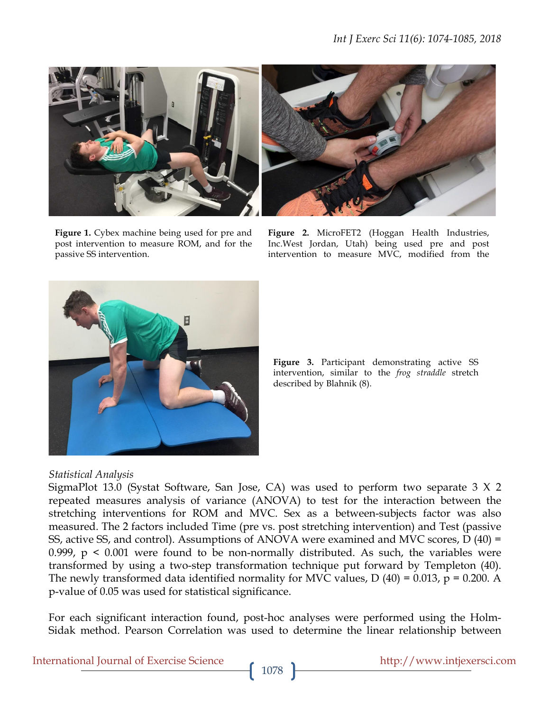

**Figure 1.** Cybex machine being used for pre and post intervention to measure ROM, and for the passive SS intervention.

**Figure 2.** MicroFET2 (Hoggan Health Industries, Inc.West Jordan, Utah) being used pre and post intervention to measure MVC, modified from the



**Figure 3.** Participant demonstrating active SS intervention, similar to the *frog straddle* stretch described by Blahnik (8).

# *Statistical Analysis*

SigmaPlot 13.0 (Systat Software, San Jose, CA) was used to perform two separate 3 X 2 repeated measures analysis of variance (ANOVA) to test for the interaction between the stretching interventions for ROM and MVC. Sex as a between-subjects factor was also measured. The 2 factors included Time (pre vs. post stretching intervention) and Test (passive SS, active SS, and control). Assumptions of ANOVA were examined and MVC scores, D (40) = 0.999,  $p \le 0.001$  were found to be non-normally distributed. As such, the variables were transformed by using a two-step transformation technique put forward by Templeton (40). The newly transformed data identified normality for MVC values,  $D(40) = 0.013$ ,  $p = 0.200$ . A p-value of 0.05 was used for statistical significance.

For each significant interaction found, post-hoc analyses were performed using the Holm-Sidak method. Pearson Correlation was used to determine the linear relationship between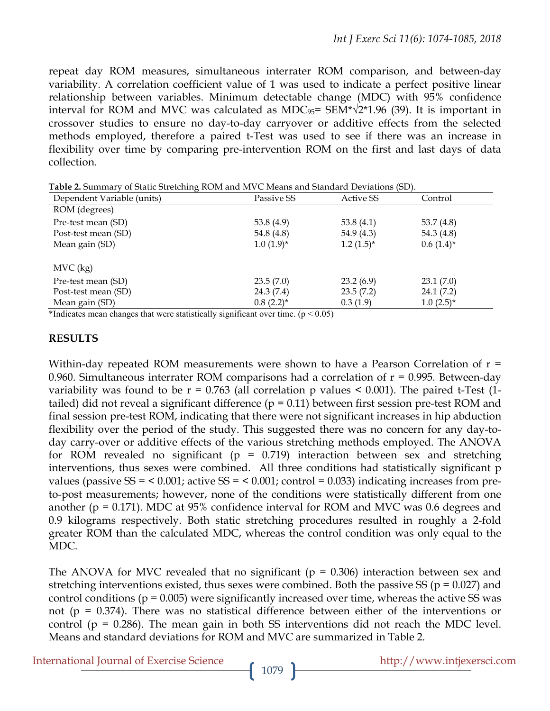repeat day ROM measures, simultaneous interrater ROM comparison, and between-day variability. A correlation coefficient value of 1 was used to indicate a perfect positive linear relationship between variables. Minimum detectable change (MDC) with 95% confidence interval for ROM and MVC was calculated as MDC $_{95}$ = SEM\* $\sqrt{2}$ \*1.96 (39). It is important in crossover studies to ensure no day-to-day carryover or additive effects from the selected methods employed, therefore a paired t-Test was used to see if there was an increase in flexibility over time by comparing pre-intervention ROM on the first and last days of data collection.

| <b>Exercise</b> to an extended the condition of the $m \cdot \sigma$ is the context $\sigma$ by conditions $\sigma$ $\sigma$ |                |                |                |  |  |
|------------------------------------------------------------------------------------------------------------------------------|----------------|----------------|----------------|--|--|
| Dependent Variable (units)                                                                                                   | Passive SS     | Active SS      | Control        |  |  |
| ROM (degrees)                                                                                                                |                |                |                |  |  |
| Pre-test mean (SD)                                                                                                           | 53.8 $(4.9)$   | 53.8 $(4.1)$   | 53.7 $(4.8)$   |  |  |
| Post-test mean (SD)                                                                                                          | 54.8 (4.8)     | 54.9 $(4.3)$   | 54.3 $(4.8)$   |  |  |
| Mean gain (SD)                                                                                                               | $1.0(1.9)$ *   | $1.2(1.5)^{*}$ | $0.6(1.4)^{*}$ |  |  |
|                                                                                                                              |                |                |                |  |  |
| $MVC$ (kg)                                                                                                                   |                |                |                |  |  |
| Pre-test mean (SD)                                                                                                           | 23.5(7.0)      | 23.2(6.9)      | 23.1(7.0)      |  |  |
| Post-test mean (SD)                                                                                                          | 24.3(7.4)      | 23.5(7.2)      | 24.1(7.2)      |  |  |
| Mean gain (SD)                                                                                                               | $0.8(2.2)^{*}$ | 0.3(1.9)       | $1.0(2.5)^{*}$ |  |  |

**Table 2.** Summary of Static Stretching ROM and MVC Means and Standard Deviations (SD).

\*Indicates mean changes that were statistically significant over time.  $(p < 0.05)$ 

#### **RESULTS**

Within-day repeated ROM measurements were shown to have a Pearson Correlation of  $r =$ 0.960. Simultaneous interrater ROM comparisons had a correlation of  $r = 0.995$ . Between-day variability was found to be  $r = 0.763$  (all correlation p values  $\leq 0.001$ ). The paired t-Test (1tailed) did not reveal a significant difference ( $p = 0.11$ ) between first session pre-test ROM and final session pre-test ROM, indicating that there were not significant increases in hip abduction flexibility over the period of the study. This suggested there was no concern for any day-today carry-over or additive effects of the various stretching methods employed. The ANOVA for ROM revealed no significant ( $p = 0.719$ ) interaction between sex and stretching interventions, thus sexes were combined. All three conditions had statistically significant p values (passive  $SS = 0.001$ ; active  $SS = 0.001$ ; control = 0.033) indicating increases from preto-post measurements; however, none of the conditions were statistically different from one another ( $p = 0.171$ ). MDC at 95% confidence interval for ROM and MVC was 0.6 degrees and 0.9 kilograms respectively. Both static stretching procedures resulted in roughly a 2-fold greater ROM than the calculated MDC, whereas the control condition was only equal to the MDC.

The ANOVA for MVC revealed that no significant ( $p = 0.306$ ) interaction between sex and stretching interventions existed, thus sexes were combined. Both the passive SS ( $p = 0.027$ ) and control conditions ( $p = 0.005$ ) were significantly increased over time, whereas the active SS was not ( $p = 0.374$ ). There was no statistical difference between either of the interventions or control ( $p = 0.286$ ). The mean gain in both SS interventions did not reach the MDC level. Means and standard deviations for ROM and MVC are summarized in Table 2.

International Journal of Exercise Science http://www.intjexersci.com http://www.intjexersci.com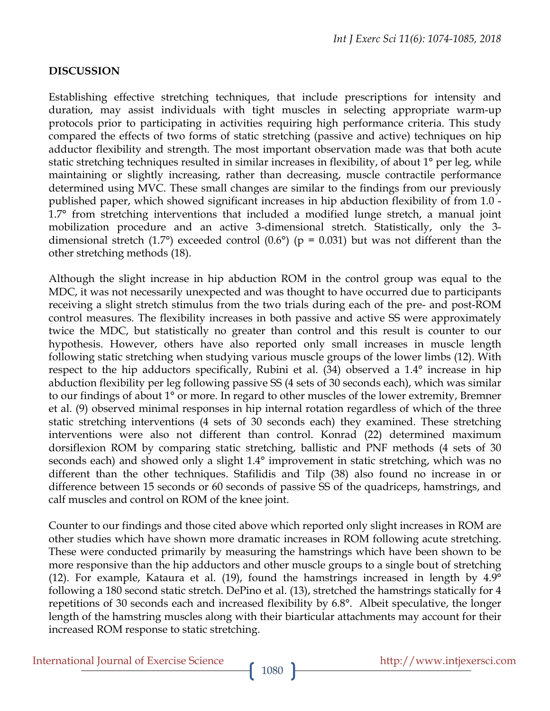### **DISCUSSION**

Establishing effective stretching techniques, that include prescriptions for intensity and duration, may assist individuals with tight muscles in selecting appropriate warm-up protocols prior to participating in activities requiring high performance criteria. This study compared the effects of two forms of static stretching (passive and active) techniques on hip adductor flexibility and strength. The most important observation made was that both acute static stretching techniques resulted in similar increases in flexibility, of about 1° per leg, while maintaining or slightly increasing, rather than decreasing, muscle contractile performance determined using MVC. These small changes are similar to the findings from our previously published paper, which showed significant increases in hip abduction flexibility of from 1.0 - 1.7° from stretching interventions that included a modified lunge stretch, a manual joint mobilization procedure and an active 3-dimensional stretch. Statistically, only the 3 dimensional stretch (1.7°) exceeded control (0.6°) ( $p = 0.031$ ) but was not different than the other stretching methods (18).

Although the slight increase in hip abduction ROM in the control group was equal to the MDC, it was not necessarily unexpected and was thought to have occurred due to participants receiving a slight stretch stimulus from the two trials during each of the pre- and post-ROM control measures. The flexibility increases in both passive and active SS were approximately twice the MDC, but statistically no greater than control and this result is counter to our hypothesis. However, others have also reported only small increases in muscle length following static stretching when studying various muscle groups of the lower limbs (12). With respect to the hip adductors specifically, Rubini et al. (34) observed a 1.4° increase in hip abduction flexibility per leg following passive SS (4 sets of 30 seconds each), which was similar to our findings of about 1° or more. In regard to other muscles of the lower extremity, Bremner et al. (9) observed minimal responses in hip internal rotation regardless of which of the three static stretching interventions (4 sets of 30 seconds each) they examined. These stretching interventions were also not different than control. Konrad (22) determined maximum dorsiflexion ROM by comparing static stretching, ballistic and PNF methods (4 sets of 30 seconds each) and showed only a slight 1.4° improvement in static stretching, which was no different than the other techniques. Stafilidis and Tilp (38) also found no increase in or difference between 15 seconds or 60 seconds of passive SS of the quadriceps, hamstrings, and calf muscles and control on ROM of the knee joint.

Counter to our findings and those cited above which reported only slight increases in ROM are other studies which have shown more dramatic increases in ROM following acute stretching. These were conducted primarily by measuring the hamstrings which have been shown to be more responsive than the hip adductors and other muscle groups to a single bout of stretching (12). For example, Kataura et al. (19), found the hamstrings increased in length by 4.9° following a 180 second static stretch. DePino et al. (13), stretched the hamstrings statically for 4 repetitions of 30 seconds each and increased flexibility by 6.8°. Albeit speculative, the longer length of the hamstring muscles along with their biarticular attachments may account for their increased ROM response to static stretching.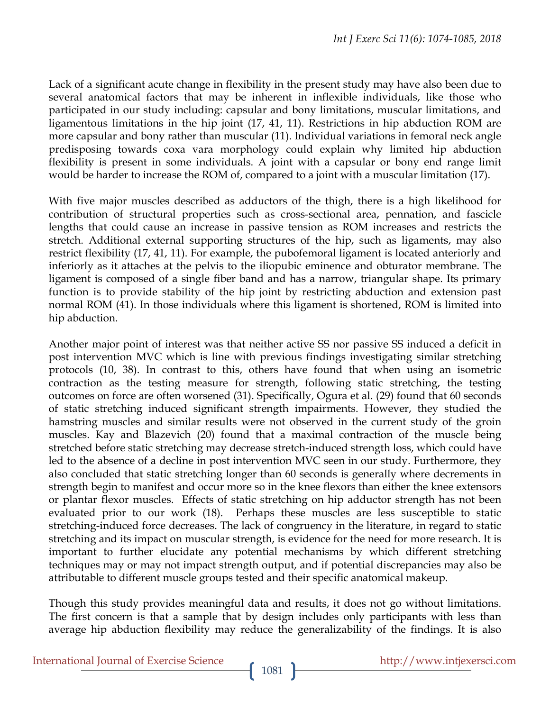Lack of a significant acute change in flexibility in the present study may have also been due to several anatomical factors that may be inherent in inflexible individuals, like those who participated in our study including: capsular and bony limitations, muscular limitations, and ligamentous limitations in the hip joint (17, 41, 11). Restrictions in hip abduction ROM are more capsular and bony rather than muscular (11). Individual variations in femoral neck angle predisposing towards coxa vara morphology could explain why limited hip abduction flexibility is present in some individuals. A joint with a capsular or bony end range limit would be harder to increase the ROM of, compared to a joint with a muscular limitation (17).

With five major muscles described as adductors of the thigh, there is a high likelihood for contribution of structural properties such as cross-sectional area, pennation, and fascicle lengths that could cause an increase in passive tension as ROM increases and restricts the stretch. Additional external supporting structures of the hip, such as ligaments, may also restrict flexibility (17, 41, 11). For example, the pubofemoral ligament is located anteriorly and inferiorly as it attaches at the pelvis to the iliopubic eminence and obturator membrane. The ligament is composed of a single fiber band and has a narrow, triangular shape. Its primary function is to provide stability of the hip joint by restricting abduction and extension past normal ROM (41). In those individuals where this ligament is shortened, ROM is limited into hip abduction.

Another major point of interest was that neither active SS nor passive SS induced a deficit in post intervention MVC which is line with previous findings investigating similar stretching protocols (10, 38). In contrast to this, others have found that when using an isometric contraction as the testing measure for strength, following static stretching, the testing outcomes on force are often worsened (31). Specifically, Ogura et al. (29) found that 60 seconds of static stretching induced significant strength impairments. However, they studied the hamstring muscles and similar results were not observed in the current study of the groin muscles. Kay and Blazevich (20) found that a maximal contraction of the muscle being stretched before static stretching may decrease stretch-induced strength loss, which could have led to the absence of a decline in post intervention MVC seen in our study. Furthermore, they also concluded that static stretching longer than 60 seconds is generally where decrements in strength begin to manifest and occur more so in the knee flexors than either the knee extensors or plantar flexor muscles. Effects of static stretching on hip adductor strength has not been evaluated prior to our work (18). Perhaps these muscles are less susceptible to static stretching-induced force decreases. The lack of congruency in the literature, in regard to static stretching and its impact on muscular strength, is evidence for the need for more research. It is important to further elucidate any potential mechanisms by which different stretching techniques may or may not impact strength output, and if potential discrepancies may also be attributable to different muscle groups tested and their specific anatomical makeup.

Though this study provides meaningful data and results, it does not go without limitations. The first concern is that a sample that by design includes only participants with less than average hip abduction flexibility may reduce the generalizability of the findings. It is also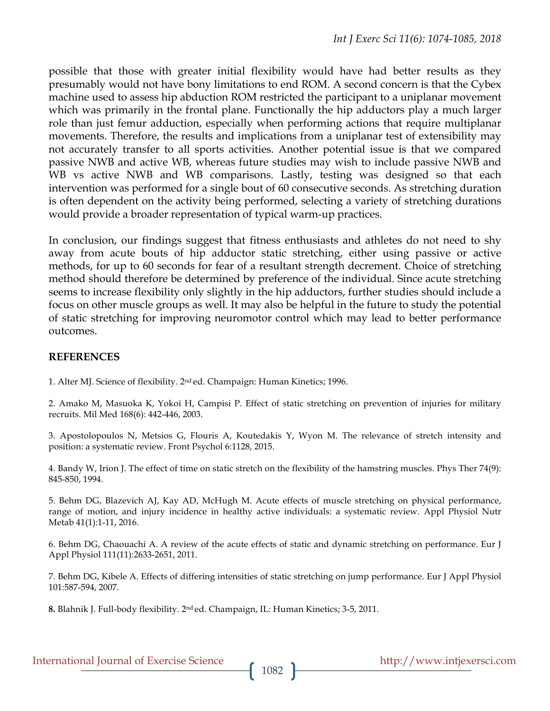possible that those with greater initial flexibility would have had better results as they presumably would not have bony limitations to end ROM. A second concern is that the Cybex machine used to assess hip abduction ROM restricted the participant to a uniplanar movement which was primarily in the frontal plane. Functionally the hip adductors play a much larger role than just femur adduction, especially when performing actions that require multiplanar movements. Therefore, the results and implications from a uniplanar test of extensibility may not accurately transfer to all sports activities. Another potential issue is that we compared passive NWB and active WB, whereas future studies may wish to include passive NWB and WB vs active NWB and WB comparisons. Lastly, testing was designed so that each intervention was performed for a single bout of 60 consecutive seconds. As stretching duration is often dependent on the activity being performed, selecting a variety of stretching durations would provide a broader representation of typical warm-up practices.

In conclusion, our findings suggest that fitness enthusiasts and athletes do not need to shy away from acute bouts of hip adductor static stretching, either using passive or active methods, for up to 60 seconds for fear of a resultant strength decrement. Choice of stretching method should therefore be determined by preference of the individual. Since acute stretching seems to increase flexibility only slightly in the hip adductors, further studies should include a focus on other muscle groups as well. It may also be helpful in the future to study the potential of static stretching for improving neuromotor control which may lead to better performance outcomes.

### **REFERENCES**

1. Alter MJ. Science of flexibility. 2nd ed. Champaign: Human Kinetics; 1996.

2. Amako M, Masuoka K, Yokoi H, Campisi P. Effect of static stretching on prevention of injuries for military recruits. Mil Med 168(6): 442-446, 2003.

3. Apostolopoulos N, Metsios G, Flouris A, Koutedakis Y, Wyon M. The relevance of stretch intensity and position: a systematic review. Front Psychol 6:1128, 2015.

4. Bandy W, Irion J. The effect of time on static stretch on the flexibility of the hamstring muscles. Phys Ther 74(9): 845-850, 1994.

5. Behm DG, Blazevich AJ, Kay AD, McHugh M. Acute effects of muscle stretching on physical performance, range of motion, and injury incidence in healthy active individuals: a systematic review. Appl Physiol Nutr Metab 41(1):1-11, 2016.

6. Behm DG, Chaouachi A. A review of the acute effects of static and dynamic stretching on performance. Eur J Appl Physiol 111(11):2633-2651, 2011.

7. Behm DG, Kibele A. Effects of differing intensities of static stretching on jump performance. Eur J Appl Physiol 101:587-594, 2007.

**8.** Blahnik J. Full-body flexibility. 2nd ed. Champaign, IL: Human Kinetics; 3-5, 2011.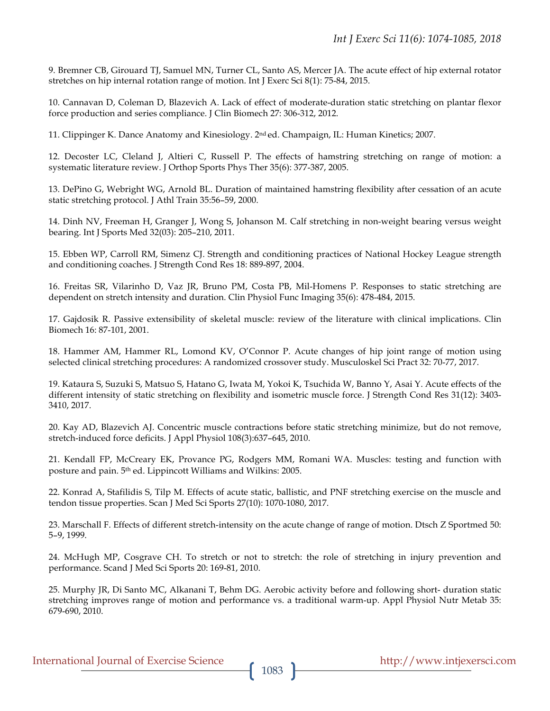9. Bremner CB, Girouard TJ, Samuel MN, Turner CL, Santo AS, Mercer JA. The acute effect of hip external rotator stretches on hip internal rotation range of motion. Int J Exerc Sci 8(1): 75-84, 2015.

10. Cannavan D, Coleman D, Blazevich A. Lack of effect of moderate-duration static stretching on plantar flexor force production and series compliance. J Clin Biomech 27: 306-312, 2012.

11. Clippinger K. Dance Anatomy and Kinesiology. 2nd ed. Champaign, IL: Human Kinetics; 2007.

12. Decoster LC, Cleland J, Altieri C, Russell P. The effects of hamstring stretching on range of motion: a systematic literature review. J Orthop Sports Phys Ther 35(6): 377-387, 2005.

13. DePino G, Webright WG, Arnold BL. Duration of maintained hamstring flexibility after cessation of an acute static stretching protocol. J Athl Train 35:56–59, 2000.

14. Dinh NV, Freeman H, Granger J, Wong S, Johanson M. Calf stretching in non-weight bearing versus weight bearing. Int J Sports Med 32(03): 205–210, 2011.

15. Ebben WP, Carroll RM, Simenz CJ. Strength and conditioning practices of National Hockey League strength and conditioning coaches. J Strength Cond Res 18: 889-897, 2004.

16. Freitas SR, Vilarinho D, Vaz JR, Bruno PM, Costa PB, Mil-Homens P. Responses to static stretching are dependent on stretch intensity and duration. Clin Physiol Func Imaging 35(6): 478-484, 2015.

17. Gajdosik R. Passive extensibility of skeletal muscle: review of the literature with clinical implications. Clin Biomech 16: 87-101, 2001.

18. Hammer AM, Hammer RL, Lomond KV, O'Connor P. Acute changes of hip joint range of motion using selected clinical stretching procedures: A randomized crossover study. Musculoskel Sci Pract 32: 70-77, 2017.

19. Kataura S, Suzuki S, Matsuo S, Hatano G, Iwata M, Yokoi K, Tsuchida W, Banno Y, Asai Y. Acute effects of the different intensity of static stretching on flexibility and isometric muscle force. J Strength Cond Res 31(12): 3403- 3410, 2017.

20. Kay AD, Blazevich AJ. Concentric muscle contractions before static stretching minimize, but do not remove, stretch-induced force deficits. J Appl Physiol 108(3):637–645, 2010.

21. Kendall FP, McCreary EK, Provance PG, Rodgers MM, Romani WA. Muscles: testing and function with posture and pain. 5th ed. Lippincott Williams and Wilkins: 2005.

22. Konrad A, Stafilidis S, Tilp M. Effects of acute static, ballistic, and PNF stretching exercise on the muscle and tendon tissue properties. Scan J Med Sci Sports 27(10): 1070-1080, 2017.

23. Marschall F. Effects of different stretch-intensity on the acute change of range of motion. Dtsch Z Sportmed 50: 5–9, 1999.

24. McHugh MP, Cosgrave CH. To stretch or not to stretch: the role of stretching in injury prevention and performance. Scand J Med Sci Sports 20: 169-81, 2010.

25. Murphy JR, Di Santo MC, Alkanani T, Behm DG. Aerobic activity before and following short- duration static stretching improves range of motion and performance vs. a traditional warm-up. Appl Physiol Nutr Metab 35: 679-690, 2010.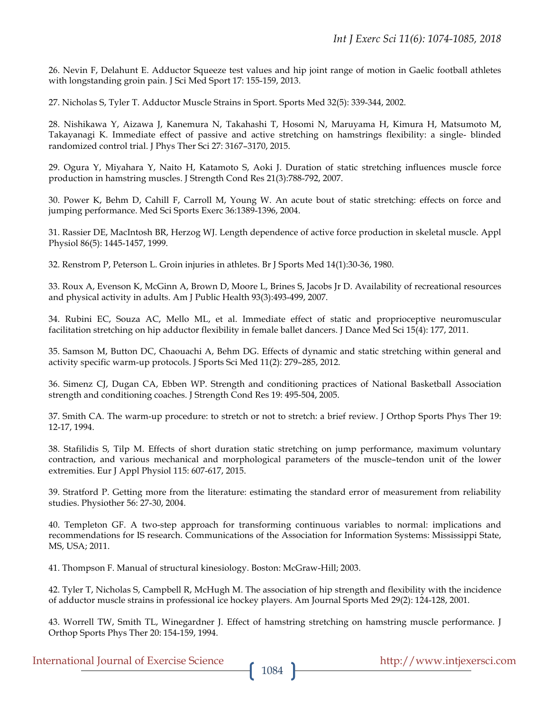26. Nevin F, Delahunt E. Adductor Squeeze test values and hip joint range of motion in Gaelic football athletes with longstanding groin pain. J Sci Med Sport 17: 155-159, 2013.

27. Nicholas S, Tyler T. Adductor Muscle Strains in Sport. Sports Med 32(5): 339-344, 2002.

28. Nishikawa Y, Aizawa J, Kanemura N, Takahashi T, Hosomi N, Maruyama H, Kimura H, Matsumoto M, Takayanagi K. Immediate effect of passive and active stretching on hamstrings flexibility: a single- blinded randomized control trial. J Phys Ther Sci 27: 3167–3170, 2015.

29. Ogura Y, Miyahara Y, Naito H, Katamoto S, Aoki J. Duration of static stretching influences muscle force production in hamstring muscles. J Strength Cond Res 21(3):788-792, 2007.

30. Power K, Behm D, Cahill F, Carroll M, Young W. An acute bout of static stretching: effects on force and jumping performance. Med Sci Sports Exerc 36:1389-1396, 2004.

31. Rassier DE, MacIntosh BR, Herzog WJ. Length dependence of active force production in skeletal muscle. Appl Physiol 86(5): 1445-1457, 1999.

32. Renstrom P, Peterson L. Groin injuries in athletes. Br J Sports Med 14(1):30-36, 1980.

33. Roux A, Evenson K, McGinn A, Brown D, Moore L, Brines S, Jacobs Jr D. Availability of recreational resources and physical activity in adults. Am J Public Health 93(3):493-499, 2007.

34. Rubini EC, Souza AC, Mello ML, et al. Immediate effect of static and proprioceptive neuromuscular facilitation stretching on hip adductor flexibility in female ballet dancers. J Dance Med Sci 15(4): 177, 2011.

35. Samson M, Button DC, Chaouachi A, Behm DG. Effects of dynamic and static stretching within general and activity specific warm-up protocols. J Sports Sci Med 11(2): 279–285, 2012.

36. Simenz CJ, Dugan CA, Ebben WP. Strength and conditioning practices of National Basketball Association strength and conditioning coaches. J Strength Cond Res 19: 495-504, 2005.

37. Smith CA. The warm-up procedure: to stretch or not to stretch: a brief review. J Orthop Sports Phys Ther 19: 12-17, 1994.

38. Stafilidis S, Tilp M. Effects of short duration static stretching on jump performance, maximum voluntary contraction, and various mechanical and morphological parameters of the muscle–tendon unit of the lower extremities. Eur J Appl Physiol 115: 607-617, 2015.

39. Stratford P. Getting more from the literature: estimating the standard error of measurement from reliability studies. Physiother 56: 27-30, 2004.

40. Templeton GF. A two-step approach for transforming continuous variables to normal: implications and recommendations for IS research. Communications of the Association for Information Systems: Mississippi State, MS, USA; 2011.

41. Thompson F. Manual of structural kinesiology. Boston: McGraw-Hill; 2003.

42. Tyler T, Nicholas S, Campbell R, McHugh M. The association of hip strength and flexibility with the incidence of adductor muscle strains in professional ice hockey players. Am Journal Sports Med 29(2): 124-128, 2001.

43. Worrell TW, Smith TL, Winegardner J. Effect of hamstring stretching on hamstring muscle performance. J Orthop Sports Phys Ther 20: 154-159, 1994.